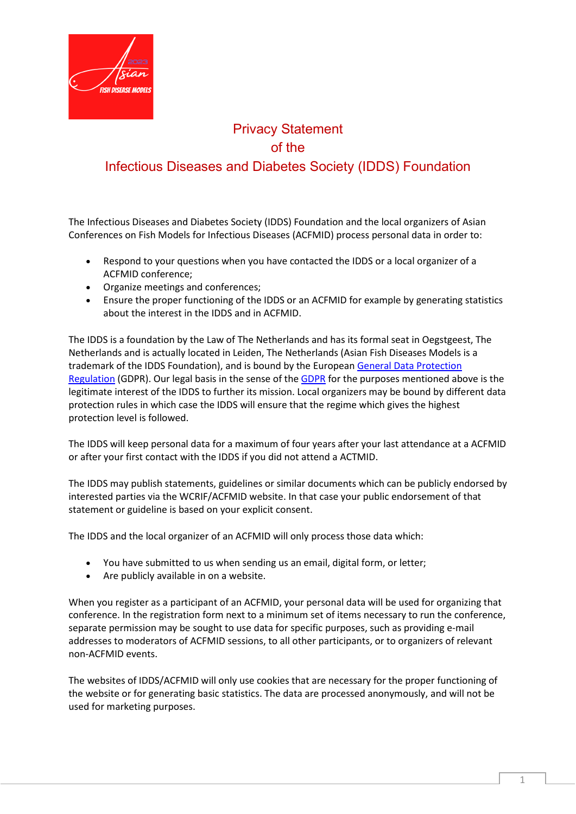

## Privacy Statement of the Infectious Diseases and Diabetes Society (IDDS) Foundation

The Infectious Diseases and Diabetes Society (IDDS) Foundation and the local organizers of Asian Conferences on Fish Models for Infectious Diseases (ACFMID) process personal data in order to:

- Respond to your questions when you have contacted the IDDS or a local organizer of a ACFMID conference;
- Organize meetings and conferences;
- Ensure the proper functioning of the IDDS or an ACFMID for example by generating statistics about the interest in the IDDS and in ACFMID.

The IDDS is a foundation by the Law of The Netherlands and has its formal seat in Oegstgeest, The Netherlands and is actually located in Leiden, The Netherlands (Asian Fish Diseases Models is a trademark of the IDDS Foundation), and is bound by the European [General Data Protection](https://ec.europa.eu/info/law/law-topic/data-protection_en)  [Regulation](https://ec.europa.eu/info/law/law-topic/data-protection_en) (GDPR). Our legal basis in the sense of the [GDPR](https://eur-lex.europa.eu/legal-content/EN/TXT/?uri=celex:32016R0679) for the purposes mentioned above is the legitimate interest of the IDDS to further its mission. Local organizers may be bound by different data protection rules in which case the IDDS will ensure that the regime which gives the highest protection level is followed.

The IDDS will keep personal data for a maximum of four years after your last attendance at a ACFMID or after your first contact with the IDDS if you did not attend a ACTMID.

The IDDS may publish statements, guidelines or similar documents which can be publicly endorsed by interested parties via the WCRIF/ACFMID website. In that case your public endorsement of that statement or guideline is based on your explicit consent.

The IDDS and the local organizer of an ACFMID will only process those data which:

- You have submitted to us when sending us an email, digital form, or letter;
- Are publicly available in on a website.

When you register as a participant of an ACFMID, your personal data will be used for organizing that conference. In the registration form next to a minimum set of items necessary to run the conference, separate permission may be sought to use data for specific purposes, such as providing e-mail addresses to moderators of ACFMID sessions, to all other participants, or to organizers of relevant non-ACFMID events.

The websites of IDDS/ACFMID will only use cookies that are necessary for the proper functioning of the website or for generating basic statistics. The data are processed anonymously, and will not be used for marketing purposes.